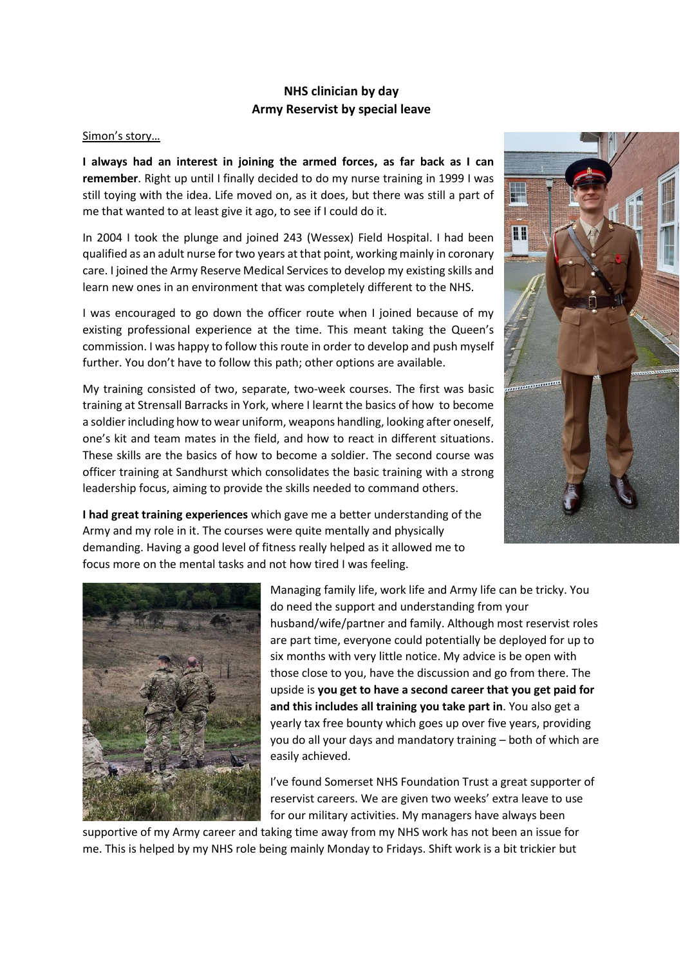## **NHS clinician by day Army Reservist by special leave**

## Simon's story…

**I always had an interest in joining the armed forces, as far back as I can remember**. Right up until I finally decided to do my nurse training in 1999 I was still toying with the idea. Life moved on, as it does, but there was still a part of me that wanted to at least give it ago, to see if I could do it.

In 2004 I took the plunge and joined 243 (Wessex) Field Hospital. I had been qualified as an adult nurse for two years at that point, working mainly in coronary care. I joined the Army Reserve Medical Services to develop my existing skills and learn new ones in an environment that was completely different to the NHS.

I was encouraged to go down the officer route when I joined because of my existing professional experience at the time. This meant taking the Queen's commission. I was happy to follow this route in order to develop and push myself further. You don't have to follow this path; other options are available.

My training consisted of two, separate, two-week courses. The first was basic training at Strensall Barracks in York, where I learnt the basics of how to become a soldierincluding how to wear uniform, weapons handling, looking after oneself, one's kit and team mates in the field, and how to react in different situations. These skills are the basics of how to become a soldier. The second course was officer training at Sandhurst which consolidates the basic training with a strong leadership focus, aiming to provide the skills needed to command others.

s. 88

**I had great training experiences** which gave me a better understanding of the Army and my role in it. The courses were quite mentally and physically demanding. Having a good level of fitness really helped as it allowed me to focus more on the mental tasks and not how tired I was feeling.



Managing family life, work life and Army life can be tricky. You do need the support and understanding from your husband/wife/partner and family. Although most reservist roles are part time, everyone could potentially be deployed for up to six months with very little notice. My advice is be open with those close to you, have the discussion and go from there. The upside is **you get to have a second career that you get paid for and this includes all training you take part in**. You also get a yearly tax free bounty which goes up over five years, providing you do all your days and mandatory training – both of which are easily achieved.

I've found Somerset NHS Foundation Trust a great supporter of reservist careers. We are given two weeks' extra leave to use for our military activities. My managers have always been

supportive of my Army career and taking time away from my NHS work has not been an issue for me. This is helped by my NHS role being mainly Monday to Fridays. Shift work is a bit trickier but